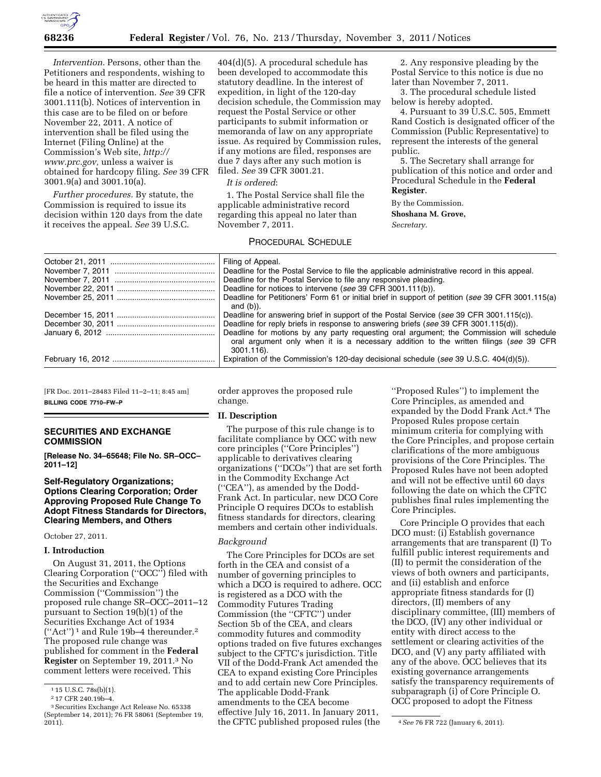

*Intervention.* Persons, other than the Petitioners and respondents, wishing to be heard in this matter are directed to file a notice of intervention. *See* 39 CFR 3001.111(b). Notices of intervention in this case are to be filed on or before November 22, 2011. A notice of intervention shall be filed using the Internet (Filing Online) at the Commission's Web site, *[http://](http://www.prc.gov) [www.prc.gov,](http://www.prc.gov)* unless a waiver is obtained for hardcopy filing. *See* 39 CFR 3001.9(a) and 3001.10(a).

*Further procedures.* By statute, the Commission is required to issue its decision within 120 days from the date it receives the appeal. *See* 39 U.S.C.

404(d)(5). A procedural schedule has been developed to accommodate this statutory deadline. In the interest of expedition, in light of the 120-day decision schedule, the Commission may request the Postal Service or other participants to submit information or memoranda of law on any appropriate issue. As required by Commission rules, if any motions are filed, responses are due 7 days after any such motion is filed. *See* 39 CFR 3001.21.

### *It is ordered*:

1. The Postal Service shall file the applicable administrative record regarding this appeal no later than November 7, 2011.

# PROCEDURAL SCHEDULE

2. Any responsive pleading by the Postal Service to this notice is due no later than November 7, 2011.

3. The procedural schedule listed below is hereby adopted.

4. Pursuant to 39 U.S.C. 505, Emmett Rand Costich is designated officer of the Commission (Public Representative) to represent the interests of the general public.

5. The Secretary shall arrange for publication of this notice and order and Procedural Schedule in the **Federal Register**.

By the Commission. **Shoshana M. Grove,**  *Secretary.* 

| Filing of Appeal.                                                                                 |
|---------------------------------------------------------------------------------------------------|
| Deadline for the Postal Service to file the applicable administrative record in this appeal.      |
| Deadline for the Postal Service to file any responsive pleading.                                  |
| Deadline for notices to intervene (see 39 CFR 3001.111(b)).                                       |
| Deadline for Petitioners' Form 61 or initial brief in support of petition (see 39 CFR 3001.115(a) |
| and $(b)$ ).                                                                                      |
| Deadline for answering brief in support of the Postal Service (see 39 CFR 3001.115(c)).           |
| Deadline for reply briefs in response to answering briefs (see 39 CFR 3001.115(d)).               |
| Deadline for motions by any party requesting oral argument; the Commission will schedule          |
| oral argument only when it is a necessary addition to the written filings (see 39 CFR             |
| $3001.116$ ).                                                                                     |
| Expiration of the Commission's 120-day decisional schedule (see 39 U.S.C. 404(d)(5)).             |

[FR Doc. 2011–28483 Filed 11–2–11; 8:45 am] **BILLING CODE 7710–FW–P** 

## **SECURITIES AND EXCHANGE COMMISSION**

**[Release No. 34–65648; File No. SR–OCC– 2011–12]** 

# **Self-Regulatory Organizations; Options Clearing Corporation; Order Approving Proposed Rule Change To Adopt Fitness Standards for Directors, Clearing Members, and Others**

October 27, 2011.

### **I. Introduction**

On August 31, 2011, the Options Clearing Corporation (''OCC'') filed with the Securities and Exchange Commission (''Commission'') the proposed rule change SR–OCC–2011–12 pursuant to Section 19(b)(1) of the Securities Exchange Act of 1934 (''Act'') 1 and Rule 19b–4 thereunder.2 The proposed rule change was published for comment in the **Federal Register** on September 19, 2011.3 No comment letters were received. This

order approves the proposed rule change.

### **II. Description**

The purpose of this rule change is to facilitate compliance by OCC with new core principles (''Core Principles'') applicable to derivatives clearing organizations (''DCOs'') that are set forth in the Commodity Exchange Act (''CEA''), as amended by the Dodd-Frank Act. In particular, new DCO Core Principle O requires DCOs to establish fitness standards for directors, clearing members and certain other individuals.

## *Background*

The Core Principles for DCOs are set forth in the CEA and consist of a number of governing principles to which a DCO is required to adhere. OCC is registered as a DCO with the Commodity Futures Trading Commission (the ''CFTC'') under Section 5b of the CEA, and clears commodity futures and commodity options traded on five futures exchanges subject to the CFTC's jurisdiction. Title VII of the Dodd-Frank Act amended the CEA to expand existing Core Principles and to add certain new Core Principles. The applicable Dodd-Frank amendments to the CEA become effective July 16, 2011. In January 2011,

''Proposed Rules'') to implement the Core Principles, as amended and expanded by the Dodd Frank Act.4 The Proposed Rules propose certain minimum criteria for complying with the Core Principles, and propose certain clarifications of the more ambiguous provisions of the Core Principles. The Proposed Rules have not been adopted and will not be effective until 60 days following the date on which the CFTC publishes final rules implementing the Core Principles.

Core Principle O provides that each DCO must: (i) Establish governance arrangements that are transparent (I) To fulfill public interest requirements and (II) to permit the consideration of the views of both owners and participants, and (ii) establish and enforce appropriate fitness standards for (I) directors, (II) members of any disciplinary committee, (III) members of the DCO, (IV) any other individual or entity with direct access to the settlement or clearing activities of the DCO, and (V) any party affiliated with any of the above. OCC believes that its existing governance arrangements satisfy the transparency requirements of subparagraph (i) of Core Principle O. OCC proposed to adopt the Fitness

<sup>1</sup> 15 U.S.C. 78s(b)(1).

<sup>2</sup> 17 CFR 240.19b–4.

<sup>3</sup>Securities Exchange Act Release No. 65338 (September 14, 2011); 76 FR 58061 (September 19, 2011). 4*See* 76 FR 722 (January 6, 2011). the CFTC published proposed rules (the